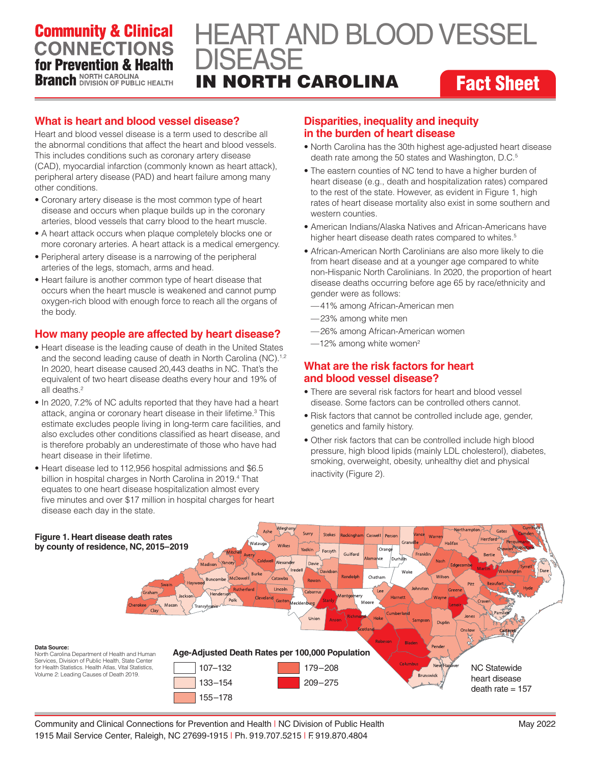## **Community & Clinical CONNECTIONS** for Prevention & Health **Branch** NORTH CAROLINA

# IN NORTH CAROLINA **Fact Sheet** HEART AND BLOOD VESSEL DISEASE

### **What is heart and blood vessel disease?**

Heart and blood vessel disease is a term used to describe all the abnormal conditions that affect the heart and blood vessels. This includes conditions such as coronary artery disease (CAD), myocardial infarction (commonly known as heart attack), peripheral artery disease (PAD) and heart failure among many other conditions.

- Coronary artery disease is the most common type of heart disease and occurs when plaque builds up in the coronary arteries, blood vessels that carry blood to the heart muscle.
- A heart attack occurs when plaque completely blocks one or more coronary arteries. A heart attack is a medical emergency.
- Peripheral artery disease is a narrowing of the peripheral arteries of the legs, stomach, arms and head.
- Heart failure is another common type of heart disease that occurs when the heart muscle is weakened and cannot pump oxygen-rich blood with enough force to reach all the organs of the body.

#### **How many people are affected by heart disease?**

- Heart disease is the leading cause of death in the United States and the second leading cause of death in North Carolina (NC).<sup>1,2</sup> In 2020, heart disease caused 20,443 deaths in NC. That's the equivalent of two heart disease deaths every hour and 19% of all deaths<sup>2</sup>
- In 2020, 7.2% of NC adults reported that they have had a heart attack, angina or coronary heart disease in their lifetime.<sup>3</sup> This estimate excludes people living in long-term care facilities, and also excludes other conditions classified as heart disease, and is therefore probably an underestimate of those who have had heart disease in their lifetime.
- Heart disease led to 112,956 hospital admissions and \$6.5 billion in hospital charges in North Carolina in 2019.<sup>4</sup> That equates to one heart disease hospitalization almost every five minutes and over \$17 million in hospital charges for heart disease each day in the state.

#### **Disparities, inequality and inequity in the burden of heart disease**

- North Carolina has the 30th highest age-adjusted heart disease death rate among the 50 states and Washington, D.C.<sup>5</sup>
- The eastern counties of NC tend to have a higher burden of heart disease (e.g., death and hospitalization rates) compared to the rest of the state. However, as evident in Figure 1, high rates of heart disease mortality also exist in some southern and western counties.
- American Indians/Alaska Natives and African-Americans have higher heart disease death rates compared to whites.<sup>5</sup>
- African-American North Carolinians are also more likely to die from heart disease and at a younger age compared to white non-Hispanic North Carolinians. In 2020, the proportion of heart disease deaths occurring before age 65 by race/ethnicity and gender were as follows:
	- —41% among African-American men
	- —23% among white men
	- —26% among African-American women
	- $-12\%$  among white women<sup>2</sup>

#### **What are the risk factors for heart and blood vessel disease?**

- There are several risk factors for heart and blood vessel disease. Some factors can be controlled others cannot.
- Risk factors that cannot be controlled include age, gender, genetics and family history.
- Other risk factors that can be controlled include high blood pressure, high blood lipids (mainly LDL cholesterol), diabetes, smoking, overweight, obesity, unhealthy diet and physical inactivity (Figure 2).



Community and Clinical Connections for Prevention and Health | NC Division of Public Health 1915 Mail Service Center, Raleigh, NC 27699-1915 | Ph. 919.707.5215 | F. 919.870.4804